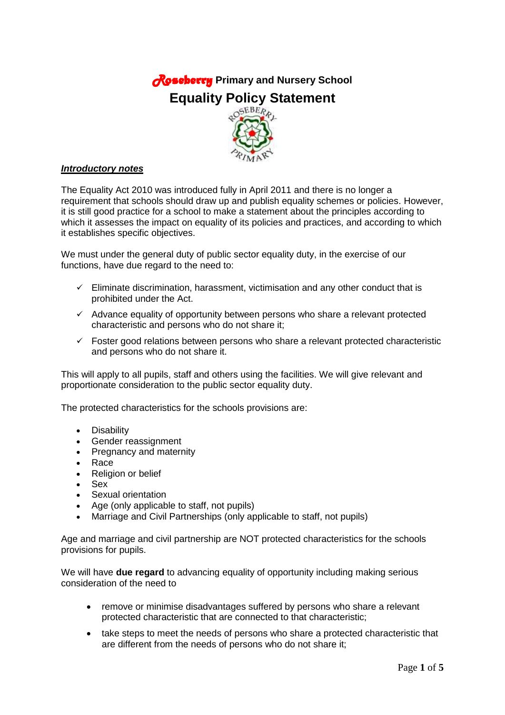# *Roseberry* **Primary and Nursery School Equality Policy Statement**



# *Introductory notes*

The Equality Act 2010 was introduced fully in April 2011 and there is no longer a requirement that schools should draw up and publish equality schemes or policies. However, it is still good practice for a school to make a statement about the principles according to which it assesses the impact on equality of its policies and practices, and according to which it establishes specific objectives.

We must under the general duty of public sector equality duty, in the exercise of our functions, have due regard to the need to:

- $\checkmark$  Eliminate discrimination, harassment, victimisation and any other conduct that is prohibited under the Act.
- $\checkmark$  Advance equality of opportunity between persons who share a relevant protected characteristic and persons who do not share it;
- $\checkmark$  Foster good relations between persons who share a relevant protected characteristic and persons who do not share it.

This will apply to all pupils, staff and others using the facilities. We will give relevant and proportionate consideration to the public sector equality duty.

The protected characteristics for the schools provisions are:

- Disability
- Gender reassignment
- Pregnancy and maternity
- Race
- Religion or belief
- Sex
- Sexual orientation
- Age (only applicable to staff, not pupils)
- Marriage and Civil Partnerships (only applicable to staff, not pupils)

Age and marriage and civil partnership are NOT protected characteristics for the schools provisions for pupils.

We will have **due regard** to advancing equality of opportunity including making serious consideration of the need to

- remove or minimise disadvantages suffered by persons who share a relevant protected characteristic that are connected to that characteristic;
- take steps to meet the needs of persons who share a protected characteristic that are different from the needs of persons who do not share it;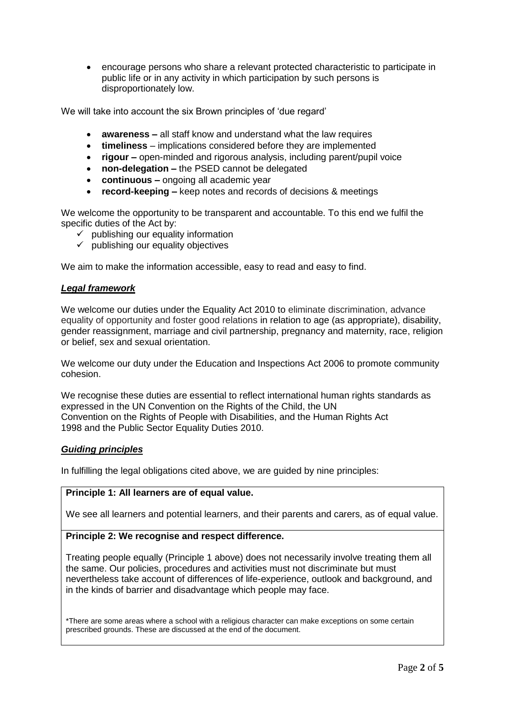encourage persons who share a relevant protected characteristic to participate in public life or in any activity in which participation by such persons is disproportionately low.

We will take into account the six Brown principles of 'due regard'

- **awareness –** all staff know and understand what the law requires
- **timeliness**  implications considered before they are implemented
- **rigour –** open-minded and rigorous analysis, including parent/pupil voice
- **non-delegation –** the PSED cannot be delegated
- **continuous –** ongoing all academic year
- **record-keeping –** keep notes and records of decisions & meetings

We welcome the opportunity to be transparent and accountable. To this end we fulfil the specific duties of the Act by:

- $\checkmark$  publishing our equality information
- $\checkmark$  publishing our equality objectives

We aim to make the information accessible, easy to read and easy to find.

## *Legal framework*

We welcome our duties under the Equality Act 2010 to eliminate discrimination, advance equality of opportunity and foster good relations in relation to age (as appropriate), disability, gender reassignment, marriage and civil partnership, pregnancy and maternity, race, religion or belief, sex and sexual orientation.

We welcome our duty under the Education and Inspections Act 2006 to promote community cohesion.

We recognise these duties are essential to reflect international human rights standards as expressed in the UN Convention on the Rights of the Child, the UN Convention on the Rights of People with Disabilities, and the Human Rights Act 1998 and the Public Sector Equality Duties 2010.

## *Guiding principles*

In fulfilling the legal obligations cited above, we are guided by nine principles:

## **Principle 1: All learners are of equal value.**

We see all learners and potential learners, and their parents and carers, as of equal value.

## **Principle 2: We recognise and respect difference.**

Treating people equally (Principle 1 above) does not necessarily involve treating them all the same. Our policies, procedures and activities must not discriminate but must nevertheless take account of differences of life-experience, outlook and background, and in the kinds of barrier and disadvantage which people may face.

\*There are some areas where a school with a religious character can make exceptions on some certain prescribed grounds. These are discussed at the end of the document.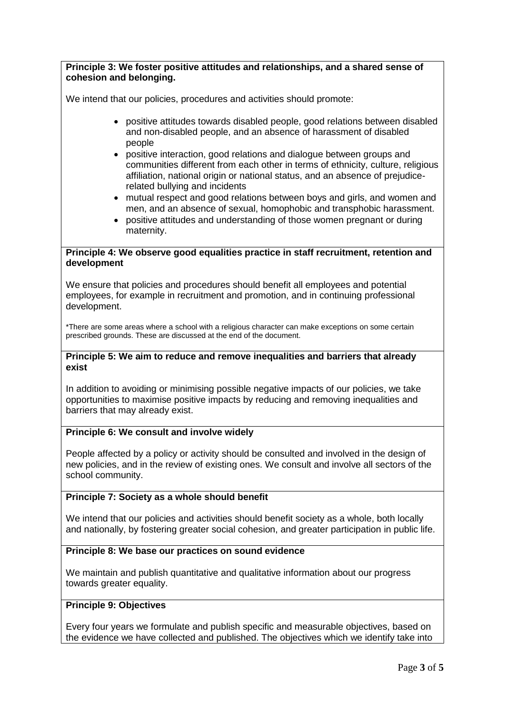**Principle 3: We foster positive attitudes and relationships, and a shared sense of cohesion and belonging.** We intend that our policies, procedures and activities should promote: positive attitudes towards disabled people, good relations between disabled and non-disabled people, and an absence of harassment of disabled people • positive interaction, good relations and dialogue between groups and communities different from each other in terms of ethnicity, culture, religious affiliation, national origin or national status, and an absence of prejudicerelated bullying and incidents mutual respect and good relations between boys and girls, and women and men, and an absence of sexual, homophobic and transphobic harassment. positive attitudes and understanding of those women pregnant or during maternity. **Principle 4: We observe good equalities practice in staff recruitment, retention and development** We ensure that policies and procedures should benefit all employees and potential employees, for example in recruitment and promotion, and in continuing professional development. \*There are some areas where a school with a religious character can make exceptions on some certain prescribed grounds. These are discussed at the end of the document. **Principle 5: We aim to reduce and remove inequalities and barriers that already exist** In addition to avoiding or minimising possible negative impacts of our policies, we take opportunities to maximise positive impacts by reducing and removing inequalities and barriers that may already exist. **Principle 6: We consult and involve widely** People affected by a policy or activity should be consulted and involved in the design of new policies, and in the review of existing ones. We consult and involve all sectors of the school community. **Principle 7: Society as a whole should benefit** We intend that our policies and activities should benefit society as a whole, both locally and nationally, by fostering greater social cohesion, and greater participation in public life. **Principle 8: We base our practices on sound evidence** We maintain and publish quantitative and qualitative information about our progress towards greater equality. **Principle 9: Objectives**

Every four years we formulate and publish specific and measurable objectives, based on the evidence we have collected and published. The objectives which we identify take into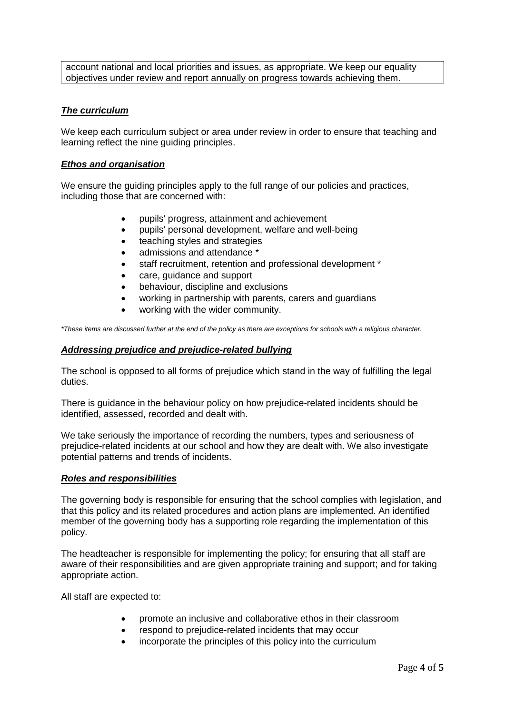account national and local priorities and issues, as appropriate. We keep our equality objectives under review and report annually on progress towards achieving them.

# *The curriculum*

We keep each curriculum subject or area under review in order to ensure that teaching and learning reflect the nine guiding principles.

## *Ethos and organisation*

We ensure the guiding principles apply to the full range of our policies and practices, including those that are concerned with:

- pupils' progress, attainment and achievement
- pupils' personal development, welfare and well-being
- teaching styles and strategies
- admissions and attendance  $*$
- staff recruitment, retention and professional development \*
- care, guidance and support
- behaviour, discipline and exclusions
- working in partnership with parents, carers and guardians
- working with the wider community.

*\*These items are discussed further at the end of the policy as there are exceptions for schools with a religious character.*

## *Addressing prejudice and prejudice-related bullying*

The school is opposed to all forms of prejudice which stand in the way of fulfilling the legal duties.

There is guidance in the behaviour policy on how prejudice-related incidents should be identified, assessed, recorded and dealt with.

We take seriously the importance of recording the numbers, types and seriousness of prejudice-related incidents at our school and how they are dealt with. We also investigate potential patterns and trends of incidents.

## *Roles and responsibilities*

The governing body is responsible for ensuring that the school complies with legislation, and that this policy and its related procedures and action plans are implemented. An identified member of the governing body has a supporting role regarding the implementation of this policy.

The headteacher is responsible for implementing the policy; for ensuring that all staff are aware of their responsibilities and are given appropriate training and support; and for taking appropriate action.

All staff are expected to:

- promote an inclusive and collaborative ethos in their classroom
- respond to prejudice-related incidents that may occur
- incorporate the principles of this policy into the curriculum